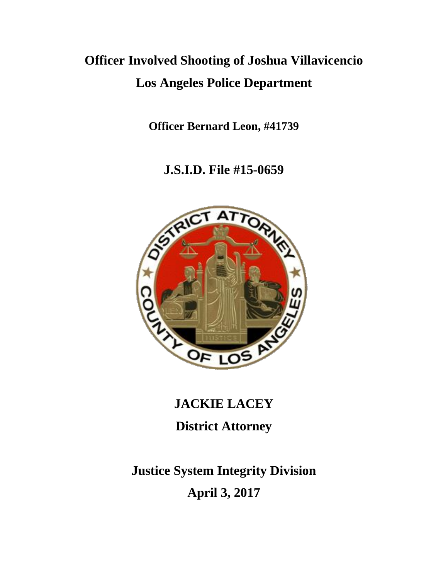## **Officer Involved Shooting of Joshua Villavicencio Los Angeles Police Department**

**Officer Bernard Leon, #41739**

**J.S.I.D. File #15-0659**



# **JACKIE LACEY District Attorney**

## **Justice System Integrity Division April 3, 2017**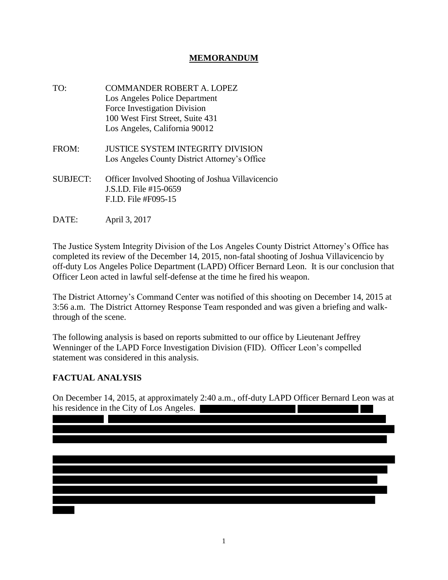### **MEMORANDUM**

- TO: COMMANDER ROBERT A. LOPEZ Los Angeles Police Department Force Investigation Division 100 West First Street, Suite 431 Los Angeles, California 90012 FROM: JUSTICE SYSTEM INTEGRITY DIVISION Los Angeles County District Attorney's Office SUBJECT: Officer Involved Shooting of Joshua Villavicencio J.S.I.D. File #15-0659 F.I.D. File #F095-15
- DATE: April 3, 2017

The Justice System Integrity Division of the Los Angeles County District Attorney's Office has completed its review of the December 14, 2015, non-fatal shooting of Joshua Villavicencio by off-duty Los Angeles Police Department (LAPD) Officer Bernard Leon. It is our conclusion that Officer Leon acted in lawful self-defense at the time he fired his weapon.

The District Attorney's Command Center was notified of this shooting on December 14, 2015 at 3:56 a.m. The District Attorney Response Team responded and was given a briefing and walkthrough of the scene.

The following analysis is based on reports submitted to our office by Lieutenant Jeffrey Wenninger of the LAPD Force Investigation Division (FID). Officer Leon's compelled statement was considered in this analysis.

#### **FACTUAL ANALYSIS**

On December 14, 2015, at approximately 2:40 a.m., off-duty LAPD Officer Bernard Leon was at his residence in the City of Los Angeles.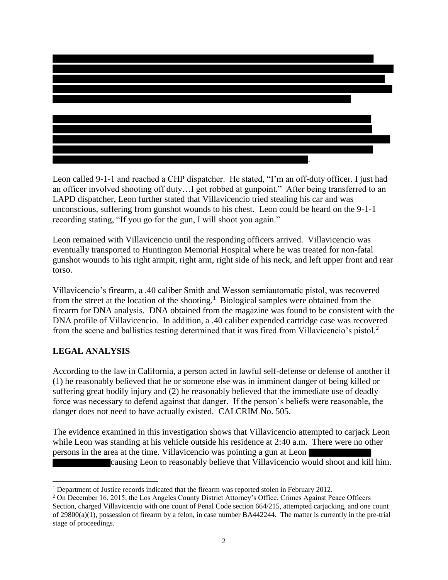

Leon called 9-1-1 and reached a CHP dispatcher. He stated, "I'm an off-duty officer. I just had an officer involved shooting off duty…I got robbed at gunpoint." After being transferred to an LAPD dispatcher, Leon further stated that Villavicencio tried stealing his car and was unconscious, suffering from gunshot wounds to his chest. Leon could be heard on the 9-1-1 recording stating, "If you go for the gun, I will shoot you again."

Leon remained with Villavicencio until the responding officers arrived. Villavicencio was eventually transported to Huntington Memorial Hospital where he was treated for non-fatal gunshot wounds to his right armpit, right arm, right side of his neck, and left upper front and rear torso.

Villavicencio's firearm, a .40 caliber Smith and Wesson semiautomatic pistol, was recovered from the street at the location of the shooting.<sup>1</sup> Biological samples were obtained from the firearm for DNA analysis. DNA obtained from the magazine was found to be consistent with the DNA profile of Villavicencio. In addition, a .40 caliber expended cartridge case was recovered from the scene and ballistics testing determined that it was fired from Villavicencio's pistol.<sup>2</sup>

### **LEGAL ANALYSIS**

According to the law in California, a person acted in lawful self-defense or defense of another if (1) he reasonably believed that he or someone else was in imminent danger of being killed or suffering great bodily injury and (2) he reasonably believed that the immediate use of deadly force was necessary to defend against that danger. If the person's beliefs were reasonable, the danger does not need to have actually existed. CALCRIM No. 505.

The evidence examined in this investigation shows that Villavicencio attempted to carjack Leon while Leon was standing at his vehicle outside his residence at 2:40 a.m. There were no other persons in the area at the time. Villavicencio was pointing a gun at Leon causing Leon to reasonably believe that Villavicencio would shoot and kill him.

 $\overline{\phantom{a}}$ <sup>1</sup> Department of Justice records indicated that the firearm was reported stolen in February 2012.

<sup>&</sup>lt;sup>2</sup> On December 16, 2015, the Los Angeles County District Attorney's Office, Crimes Against Peace Officers Section, charged Villavicencio with one count of Penal Code section 664/215, attempted carjacking, and one count of 29800(a)(1), possession of firearm by a felon, in case number BA442244. The matter is currently in the pre-trial stage of proceedings.